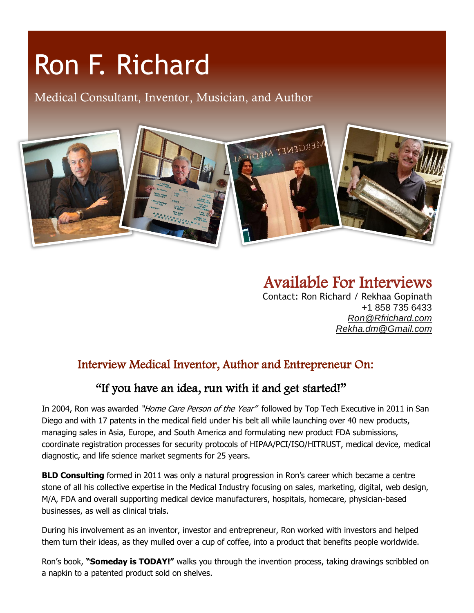# Ron F. Richard

Medical Consultant, Inventor, Musician, and Author



Available For Interviews Contact: Ron Richard / Rekhaa Gopinath +1 858 735 6433 *[Ron@Rfrichard.com](mailto:Ron@Rfrichard.com) Rekha.dm@Gmail.com*

#### Interview Medical Inventor, Author and Entrepreneur On:

#### "If you have an idea, run with it and get started!"

In 2004, Ron was awarded "Home Care Person of the Year" followed by Top Tech Executive in 2011 in San Diego and with 17 patents in the medical field under his belt all while launching over 40 new products, managing sales in Asia, Europe, and South America and formulating new product FDA submissions, coordinate registration processes for security protocols of HIPAA/PCI/ISO/HITRUST, medical device, medical diagnostic, and life science market segments for 25 years.

**BLD Consulting** formed in 2011 was only a natural progression in Ron's career which became a centre stone of all his collective expertise in the Medical Industry focusing on sales, marketing, digital, web design, M/A, FDA and overall supporting medical device manufacturers, hospitals, homecare, physician-based businesses, as well as clinical trials.

During his involvement as an inventor, investor and entrepreneur, Ron worked with investors and helped them turn their ideas, as they mulled over a cup of coffee, into a product that benefits people worldwide.

Ron's book, **"Someday is TODAY!"** walks you through the invention process, taking drawings scribbled on a napkin to a patented product sold on shelves.